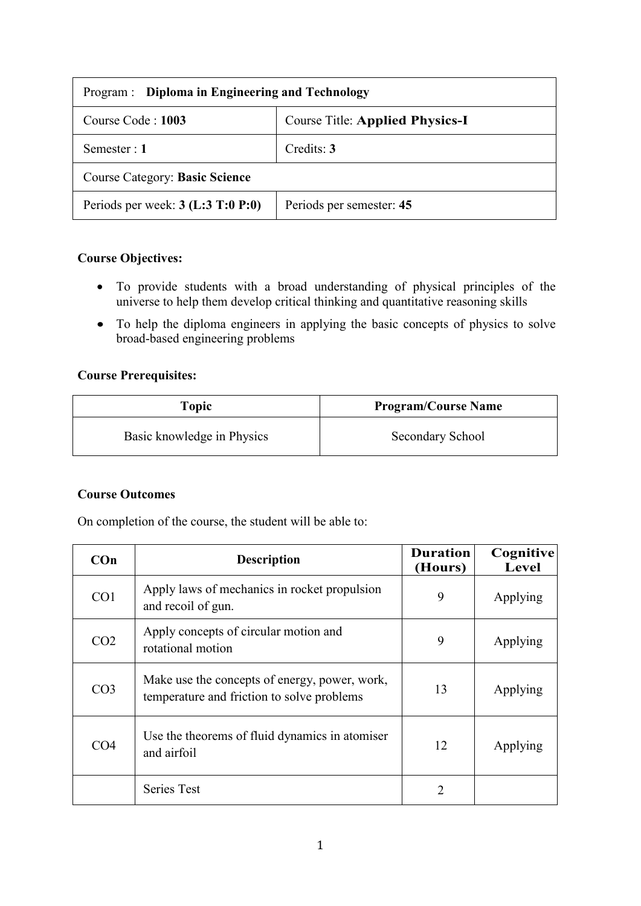| Program : Diploma in Engineering and Technology |                                        |  |
|-------------------------------------------------|----------------------------------------|--|
| Course Code: 1003                               | <b>Course Title: Applied Physics-I</b> |  |
| Semester : 1                                    | Credits: 3                             |  |
| <b>Course Category: Basic Science</b>           |                                        |  |
| Periods per week: $3$ (L:3 T:0 P:0)             | Periods per semester: 45               |  |

## **Course Objectives:**

- To provide students with a broad understanding of physical principles of the universe to help them develop critical thinking and quantitative reasoning skills
- To help the diploma engineers in applying the basic concepts of physics to solve broad-based engineering problems

# **Course Prerequisites:**

| <b>Topic</b>               | <b>Program/Course Name</b> |
|----------------------------|----------------------------|
| Basic knowledge in Physics | Secondary School           |

### **Course Outcomes**

On completion of the course, the student will be able to:

| $Con$           | <b>Description</b>                                                                          | <b>Duration</b><br>(Hours) | Cognitive<br>Level |
|-----------------|---------------------------------------------------------------------------------------------|----------------------------|--------------------|
| CO <sub>1</sub> | Apply laws of mechanics in rocket propulsion<br>and recoil of gun.                          | 9                          | Applying           |
| CO <sub>2</sub> | Apply concepts of circular motion and<br>rotational motion                                  | 9                          | Applying           |
| CO <sub>3</sub> | Make use the concepts of energy, power, work,<br>temperature and friction to solve problems | 13                         | Applying           |
| CO4             | Use the theorems of fluid dynamics in atomiser<br>and airfoil                               | 12                         | Applying           |
|                 | <b>Series Test</b>                                                                          | $\overline{2}$             |                    |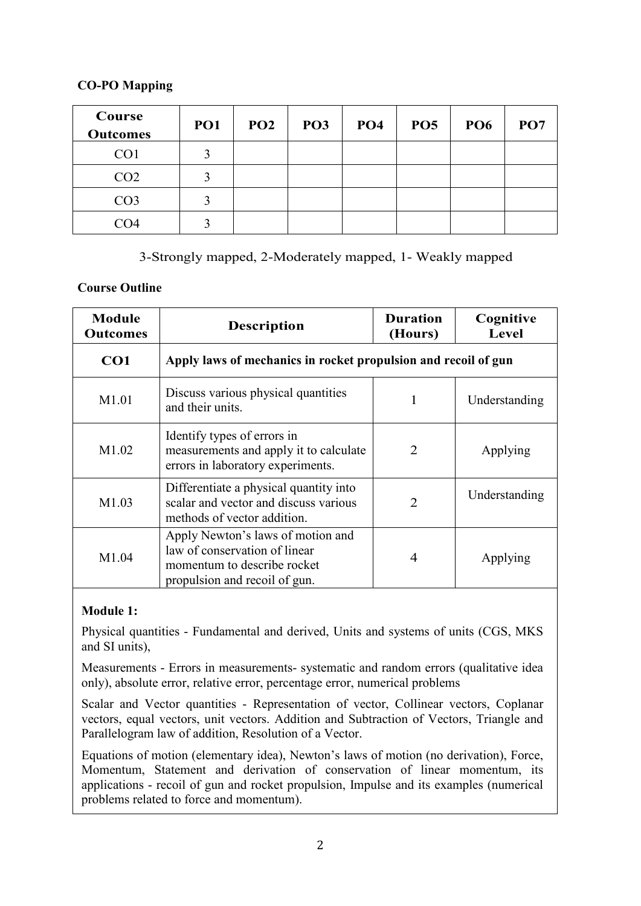### **CO-PO Mapping**

| Course<br><b>Outcomes</b> | <b>PO1</b> | PO2 | PO <sub>3</sub> | PO <sub>4</sub> | PO <sub>5</sub> | <b>PO6</b> | PO <sub>7</sub> |
|---------------------------|------------|-----|-----------------|-----------------|-----------------|------------|-----------------|
| CO <sub>1</sub>           | 3          |     |                 |                 |                 |            |                 |
| CO <sub>2</sub>           | 3          |     |                 |                 |                 |            |                 |
| CO <sub>3</sub>           | 3          |     |                 |                 |                 |            |                 |
| CO4                       |            |     |                 |                 |                 |            |                 |

### 3-Strongly mapped, 2-Moderately mapped, 1- Weakly mapped

#### **Course Outline**

| <b>Module</b><br><b>Outcomes</b> | <b>Description</b>                                                                                                                 | <b>Duration</b><br>(Hours)  | Cognitive<br>Level |
|----------------------------------|------------------------------------------------------------------------------------------------------------------------------------|-----------------------------|--------------------|
| CO <sub>1</sub>                  | Apply laws of mechanics in rocket propulsion and recoil of gun                                                                     |                             |                    |
| M1.01                            | Discuss various physical quantities<br>and their units.                                                                            | 1                           | Understanding      |
| M1.02                            | Identify types of errors in<br>measurements and apply it to calculate<br>errors in laboratory experiments.                         | $\mathcal{D}_{\mathcal{L}}$ | Applying           |
| M1.03                            | Differentiate a physical quantity into<br>scalar and vector and discuss various<br>methods of vector addition.                     | $\overline{2}$              | Understanding      |
| M1.04                            | Apply Newton's laws of motion and<br>law of conservation of linear<br>momentum to describe rocket<br>propulsion and recoil of gun. | $\overline{4}$              | Applying           |

### **Module 1:**

Physical quantities - Fundamental and derived, Units and systems of units (CGS, MKS and SI units),

Measurements - Errors in measurements- systematic and random errors (qualitative idea only), absolute error, relative error, percentage error, numerical problems

Scalar and Vector quantities - Representation of vector, Collinear vectors, Coplanar vectors, equal vectors, unit vectors. Addition and Subtraction of Vectors, Triangle and Parallelogram law of addition, Resolution of a Vector.

Equations of motion (elementary idea), Newton's laws of motion (no derivation), Force, Momentum, Statement and derivation of conservation of linear momentum, its applications - recoil of gun and rocket propulsion, Impulse and its examples (numerical problems related to force and momentum).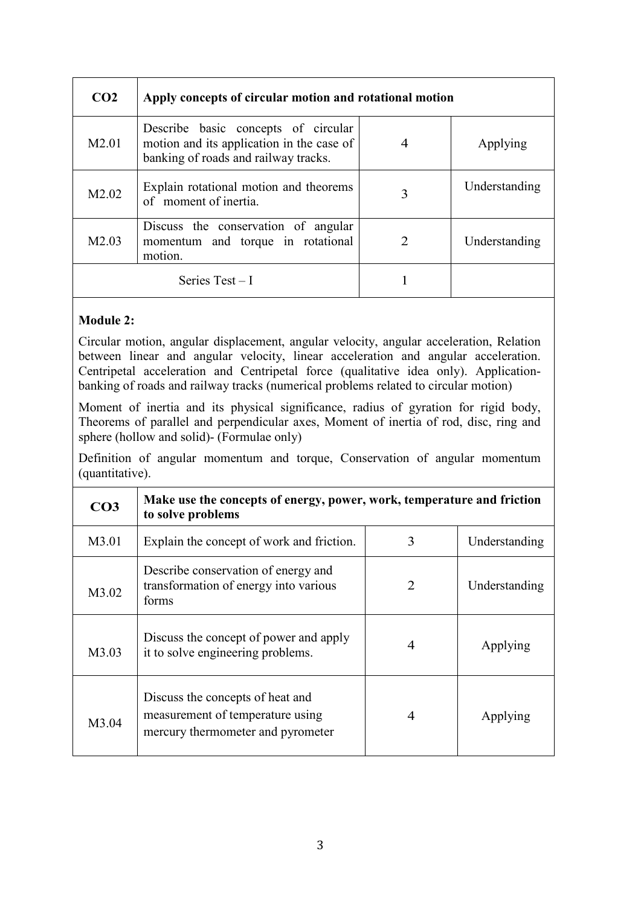| CO <sub>2</sub>   | Apply concepts of circular motion and rotational motion                                                                  |   |               |
|-------------------|--------------------------------------------------------------------------------------------------------------------------|---|---------------|
| M <sub>2.01</sub> | Describe basic concepts of circular<br>motion and its application in the case of<br>banking of roads and railway tracks. | 4 | Applying      |
| M2.02             | Explain rotational motion and theorems<br>of moment of inertia.                                                          | 3 | Understanding |
| M <sub>2.03</sub> | Discuss the conservation of angular<br>momentum and torque in rotational<br>motion.                                      | 2 | Understanding |
|                   | Series $Test - I$                                                                                                        |   |               |

### **Module 2:**

Circular motion, angular displacement, angular velocity, angular acceleration, Relation between linear and angular velocity, linear acceleration and angular acceleration. Centripetal acceleration and Centripetal force (qualitative idea only). Applicationbanking of roads and railway tracks (numerical problems related to circular motion)

Moment of inertia and its physical significance, radius of gyration for rigid body, Theorems of parallel and perpendicular axes, Moment of inertia of rod, disc, ring and sphere (hollow and solid)- (Formulae only)

Definition of angular momentum and torque, Conservation of angular momentum (quantitative).

| CO <sub>3</sub> | Make use the concepts of energy, power, work, temperature and friction<br>to solve problems               |                       |               |
|-----------------|-----------------------------------------------------------------------------------------------------------|-----------------------|---------------|
| M3.01           | Explain the concept of work and friction.                                                                 | 3                     | Understanding |
| M3.02           | Describe conservation of energy and<br>transformation of energy into various<br>forms                     | $\mathcal{D}_{\cdot}$ | Understanding |
| M3.03           | Discuss the concept of power and apply<br>it to solve engineering problems.                               | $\overline{4}$        | Applying      |
| M3.04           | Discuss the concepts of heat and<br>measurement of temperature using<br>mercury thermometer and pyrometer | 4                     | Applying      |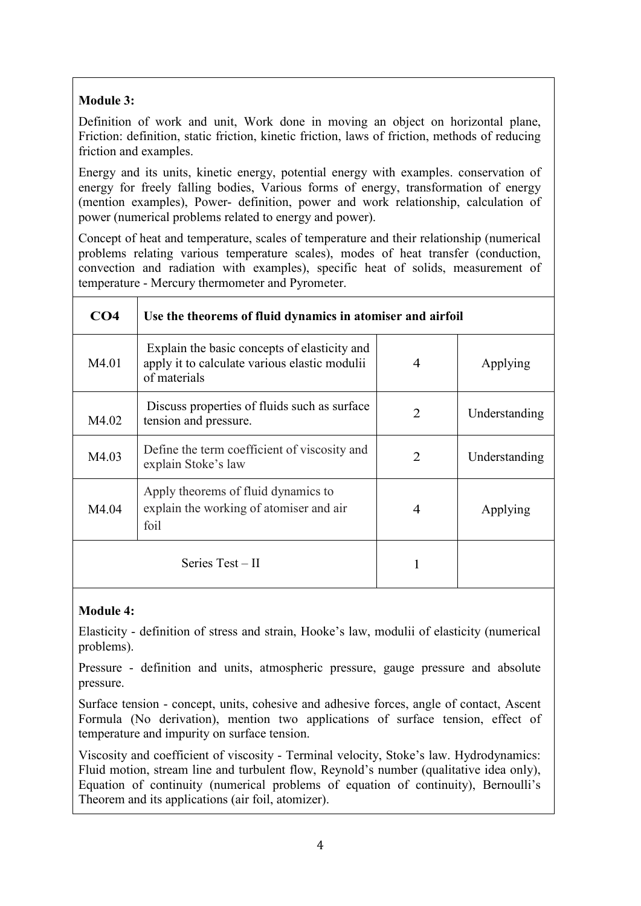# **Module 3:**

Definition of work and unit, Work done in moving an object on horizontal plane, Friction: definition, static friction, kinetic friction, laws of friction, methods of reducing friction and examples.

Energy and its units, kinetic energy, potential energy with examples. conservation of energy for freely falling bodies, Various forms of energy, transformation of energy (mention examples), Power- definition, power and work relationship, calculation of power (numerical problems related to energy and power).

Concept of heat and temperature, scales of temperature and their relationship (numerical problems relating various temperature scales), modes of heat transfer (conduction, convection and radiation with examples), specific heat of solids, measurement of temperature - Mercury thermometer and Pyrometer.

| CO <sub>4</sub>  | Use the theorems of fluid dynamics in atomiser and airfoil                                                    |                             |               |
|------------------|---------------------------------------------------------------------------------------------------------------|-----------------------------|---------------|
| M4.01            | Explain the basic concepts of elasticity and<br>apply it to calculate various elastic modulii<br>of materials | 4                           | Applying      |
| M4.02            | Discuss properties of fluids such as surface<br>tension and pressure.                                         | 2                           | Understanding |
| M4.03            | Define the term coefficient of viscosity and<br>explain Stoke's law                                           | $\mathcal{D}_{\mathcal{L}}$ | Understanding |
| M4.04            | Apply theorems of fluid dynamics to<br>explain the working of atomiser and air<br>foil                        | 4                           | Applying      |
| Series Test – II |                                                                                                               | 1                           |               |

#### **Module 4:**

Elasticity - definition of stress and strain, Hooke's law, modulii of elasticity (numerical problems).

Pressure - definition and units, atmospheric pressure, gauge pressure and absolute pressure.

Surface tension - concept, units, cohesive and adhesive forces, angle of contact, Ascent Formula (No derivation), mention two applications of surface tension, effect of temperature and impurity on surface tension.

Viscosity and coefficient of viscosity - Terminal velocity, Stoke's law. Hydrodynamics: Fluid motion, stream line and turbulent flow, Reynold's number (qualitative idea only), Equation of continuity (numerical problems of equation of continuity), Bernoulli's Theorem and its applications (air foil, atomizer).